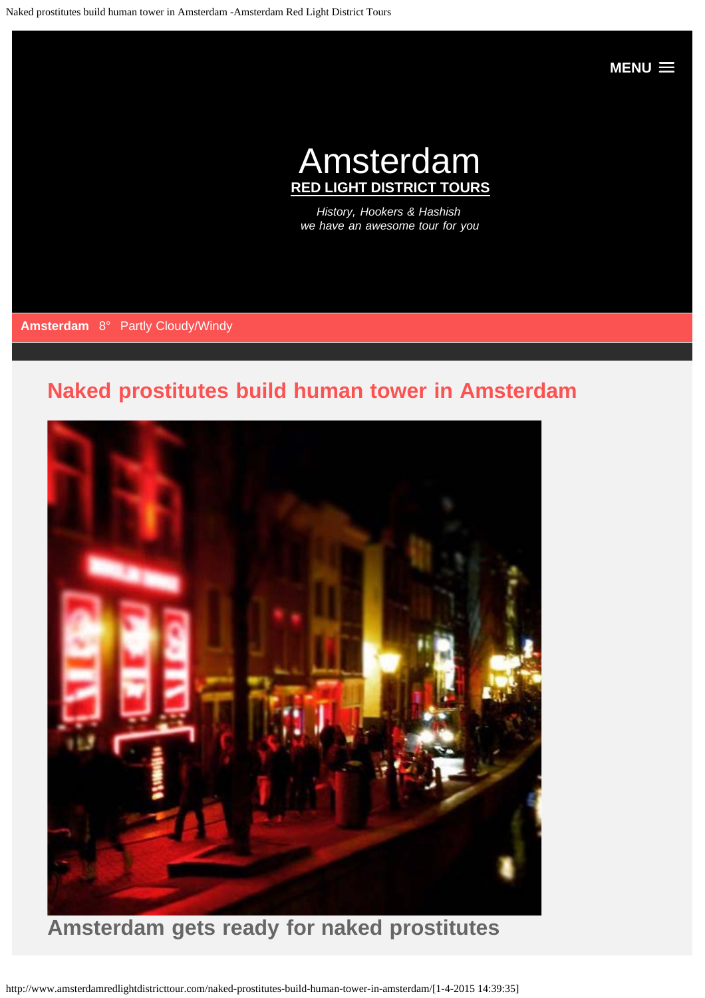**[MENU](#page-0-0)**

# Amsterdam **RED LIGHT DISTRICT TOURS**

*History, Hookers & Hashish we have an awesome tour for you*

<span id="page-0-0"></span>**Amsterdam** 8° Partly Cloudy/Windy

## **[Naked prostitutes build human tower in Amsterdam](#page-0-0)**



http://www.amsterdamredlightdistricttour.com/naked-prostitutes-build-human-tower-in-amsterdam/[1-4-2015 14:39:35]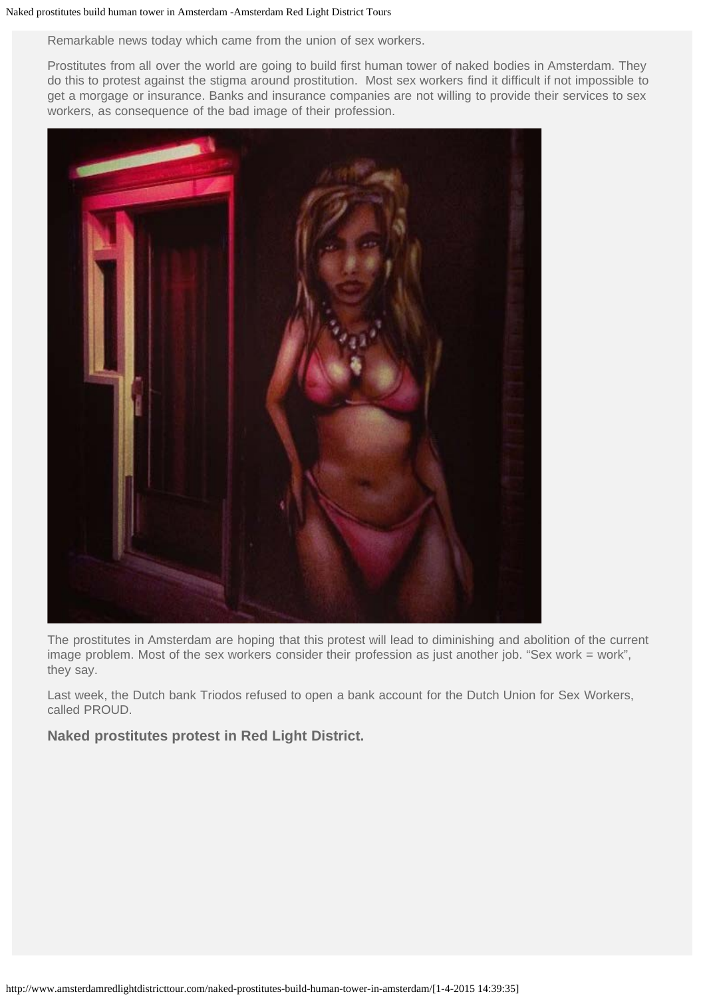#### Naked prostitutes build human tower in Amsterdam -Amsterdam Red Light District Tours

Remarkable news today which came from the union of sex workers.

Prostitutes from all over the world are going to build first human tower of naked bodies in Amsterdam. They do this to protest against the stigma around prostitution. Most sex workers find it difficult if not impossible to get a morgage or insurance. Banks and insurance companies are not willing to provide their services to sex workers, as consequence of the bad image of their profession.



The prostitutes in Amsterdam are hoping that this protest will lead to diminishing and abolition of the current image problem. Most of the sex workers consider their profession as just another job. "Sex work = work", they say.

Last week, the Dutch bank Triodos refused to open a bank account for the Dutch Union for Sex Workers, called PROUD.

**Naked prostitutes protest in Red Light District.**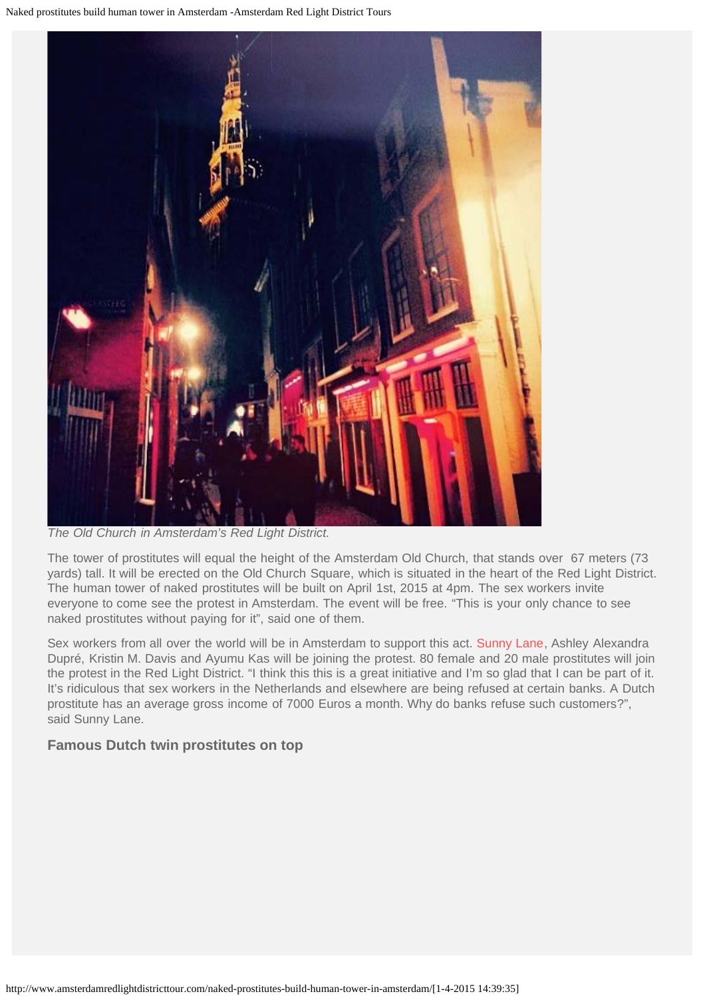

*The Old Church in Amsterdam's Red Light District.*

The tower of prostitutes will equal the height of the Amsterdam Old Church, that stands over 67 meters (73 yards) tall. It will be erected on the Old Church Square, which is situated in the heart of the Red Light District. The human tower of naked prostitutes will be built on April 1st, 2015 at 4pm. The sex workers invite everyone to come see the protest in Amsterdam. The event will be free. "This is your only chance to see naked prostitutes without paying for it", said one of them.

Sex workers from all over the world will be in Amsterdam to support this act. [Sunny Lane](http://en.wikipedia.org/wiki/Sunny_Lane), Ashley Alexandra Dupré, Kristin M. Davis and Ayumu Kas will be joining the protest. 80 female and 20 male prostitutes will join the protest in the Red Light District. "I think this this is a great initiative and I'm so glad that I can be part of it. It's ridiculous that sex workers in the Netherlands and elsewhere are being refused at certain banks. A Dutch prostitute has an average gross income of 7000 Euros a month. Why do banks refuse such customers?", said Sunny Lane.

### **Famous Dutch twin prostitutes on top**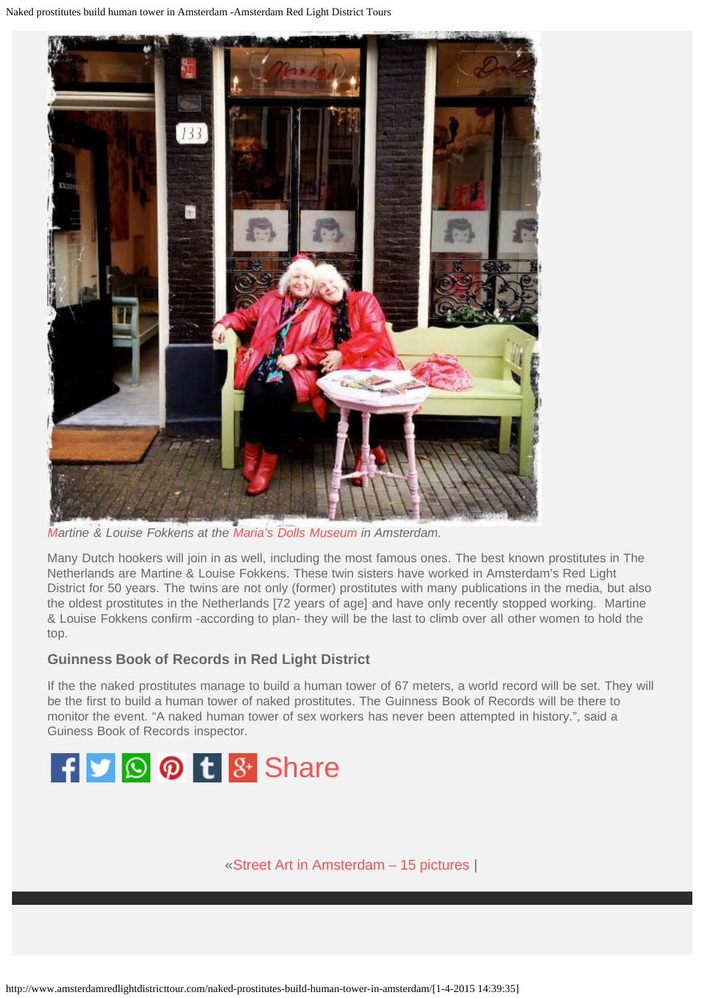Naked prostitutes build human tower in Amsterdam -Amsterdam Red Light District Tours



*[Ma](http://www.amsterdamredlightdistricttour.com/wp-content/uploads/2015/03/Amsterdam-Red-Light-District-Twin-Prostitutes-Fokkens.jpg)rtine & Louise Fokkens at the [Maria's Dolls Museum](http://www.amsterdamredlightdistricttour.com/entertainment/marias-dolls-museum/) in Amsterdam.*

Many Dutch hookers will join in as well, including the most famous ones. The best known prostitutes in The Netherlands are Martine & Louise Fokkens. These twin sisters have worked in Amsterdam's Red Light District for 50 years. The twins are not only (former) prostitutes with many publications in the media, but also the oldest prostitutes in the Netherlands [72 years of age] and have only recently stopped working. Martine & Louise Fokkens confirm -according to plan- they will be the last to climb over all other women to hold the top.

### **Guinness Book of Records in Red Light District**

If the the naked prostitutes manage to build a human tower of 67 meters, a world record will be set. They will be the first to build a human tower of naked prostitutes. The Guinness Book of Records will be there to monitor the event. "A naked human tower of sex workers has never been attempted in history.", said a Guiness Book of Records inspector.



«[Street Art in Amsterdam – 15 pictures](http://www.amsterdamredlightdistricttour.com/street-art-in-amsterdam-15-pictures/) |